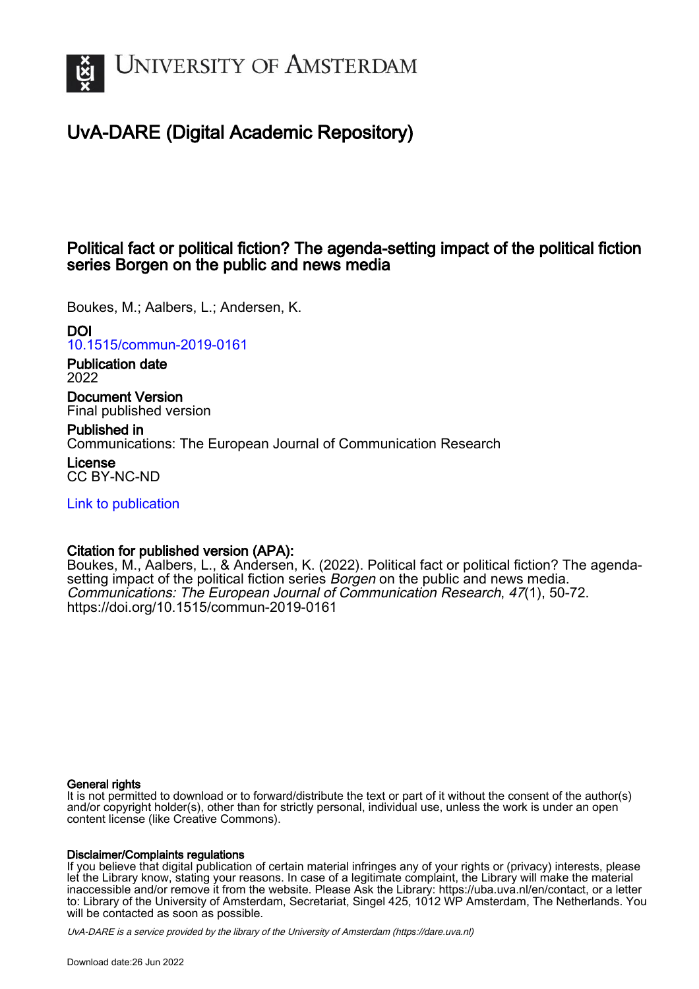

# UvA-DARE (Digital Academic Repository)

### Political fact or political fiction? The agenda-setting impact of the political fiction series Borgen on the public and news media

Boukes, M.; Aalbers, L.; Andersen, K.

DOI

[10.1515/commun-2019-0161](https://doi.org/10.1515/commun-2019-0161)

Publication date 2022

Document Version Final published version

Published in Communications: The European Journal of Communication Research

License CC BY-NC-ND

[Link to publication](https://dare.uva.nl/personal/pure/en/publications/political-fact-or-political-fiction-the-agendasetting-impact-of-the-political-fiction-series-borgen-on-the-public-and-news-media(7147df4f-7723-4165-bbd8-d8ab3e81b334).html)

### Citation for published version (APA):

Boukes, M., Aalbers, L., & Andersen, K. (2022). Political fact or political fiction? The agendasetting impact of the political fiction series *Borgen* on the public and news media. Communications: The European Journal of Communication Research, 47(1), 50-72. <https://doi.org/10.1515/commun-2019-0161>

#### General rights

It is not permitted to download or to forward/distribute the text or part of it without the consent of the author(s) and/or copyright holder(s), other than for strictly personal, individual use, unless the work is under an open content license (like Creative Commons).

#### Disclaimer/Complaints regulations

If you believe that digital publication of certain material infringes any of your rights or (privacy) interests, please let the Library know, stating your reasons. In case of a legitimate complaint, the Library will make the material inaccessible and/or remove it from the website. Please Ask the Library: https://uba.uva.nl/en/contact, or a letter to: Library of the University of Amsterdam, Secretariat, Singel 425, 1012 WP Amsterdam, The Netherlands. You will be contacted as soon as possible.

UvA-DARE is a service provided by the library of the University of Amsterdam (http*s*://dare.uva.nl)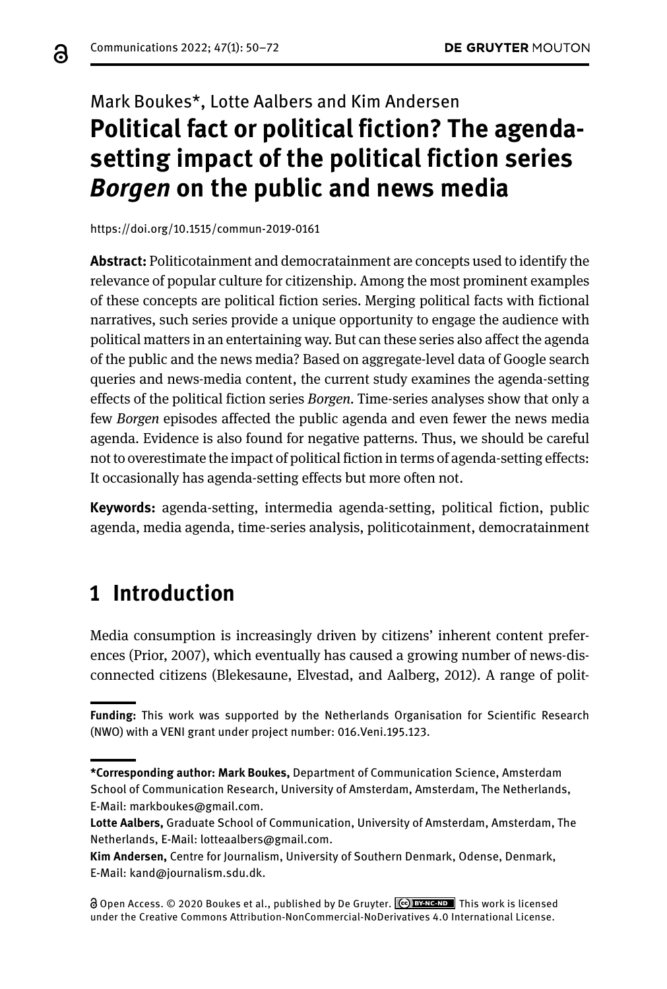a

# Mark Boukes\*, Lotte Aalbers and Kim Andersen **Political fact or political fiction? The agendasetting impact of the political fiction series**  *Borgen* **on the public and news media**

<https://doi.org/10.1515/commun-2019-0161>

**Abstract:** Politicotainment and democratainment are concepts used to identify the relevance of popular culture for citizenship. Among the most prominent examples of these concepts are political fiction series. Merging political facts with fictional narratives, such series provide a unique opportunity to engage the audience with political matters in an entertaining way. But can these series also affect the agenda of the public and the news media? Based on aggregate-level data of Google search queries and news-media content, the current study examines the agenda-setting effects of the political fiction series *Borgen*. Time-series analyses show that only a few *Borgen* episodes affected the public agenda and even fewer the news media agenda. Evidence is also found for negative patterns. Thus, we should be careful not to overestimate the impact of political fiction in terms of agenda-setting effects: It occasionally has agenda-setting effects but more often not.

**Keywords:** agenda-setting, intermedia agenda-setting, political fiction, public agenda, media agenda, time-series analysis, politicotainment, democratainment

## **1 Introduction**

Media consumption is increasingly driven by citizens' inherent content preferences (Prior, 2007), which eventually has caused a growing number of news-disconnected citizens (Blekesaune, Elvestad, and Aalberg, 2012). A range of polit-

**Funding:** This work was supported by the Netherlands Organisation for Scientific Research (NWO) with a VENI grant under project number: 016.Veni.195.123.

**<sup>\*</sup>Corresponding author: Mark Boukes,** Department of Communication Science, Amsterdam School of Communication Research, University of Amsterdam, Amsterdam, The Netherlands, E-Mail: [markboukes@gmail.com](mailto:markboukes@gmail.com).

**Lotte Aalbers,** Graduate School of Communication, University of Amsterdam, Amsterdam, The Netherlands, E-Mail: [lotteaalbers@gmail.com.](mailto:lotteaalbers@gmail.com)

**Kim Andersen,** Centre for Journalism, University of Southern Denmark, Odense, Denmark, E-Mail: [kand@journalism.sdu.dk.](mailto:kand@journalism.sdu.dk)

Open Access. © 2020 Boukes et al., published by De Gruyter. This work is licensed under the Creative Commons Attribution-NonCommercial-NoDerivatives 4.0 International License.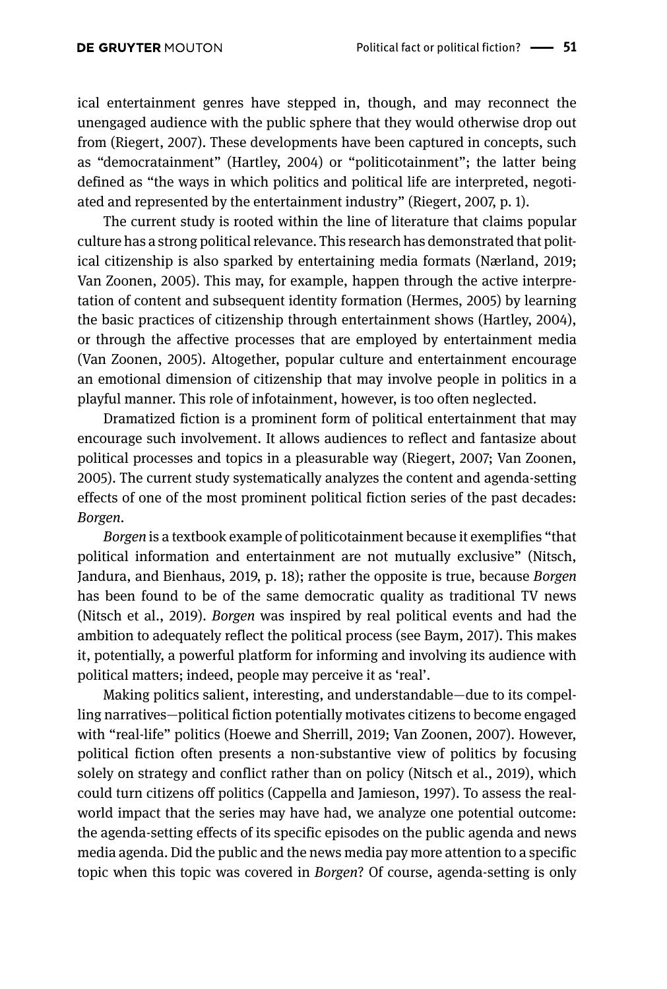ical entertainment genres have stepped in, though, and may reconnect the unengaged audience with the public sphere that they would otherwise drop out from (Riegert, 2007). These developments have been captured in concepts, such as "democratainment" (Hartley, 2004) or "politicotainment"; the latter being defined as "the ways in which politics and political life are interpreted, negotiated and represented by the entertainment industry" (Riegert, 2007, p. 1).

The current study is rooted within the line of literature that claims popular culture has a strong political relevance. This research has demonstrated that political citizenship is also sparked by entertaining media formats (Nærland, 2019; Van Zoonen, 2005). This may, for example, happen through the active interpretation of content and subsequent identity formation (Hermes, 2005) by learning the basic practices of citizenship through entertainment shows (Hartley, 2004), or through the affective processes that are employed by entertainment media (Van Zoonen, 2005). Altogether, popular culture and entertainment encourage an emotional dimension of citizenship that may involve people in politics in a playful manner. This role of infotainment, however, is too often neglected.

Dramatized fiction is a prominent form of political entertainment that may encourage such involvement. It allows audiences to reflect and fantasize about political processes and topics in a pleasurable way (Riegert, 2007; Van Zoonen, 2005). The current study systematically analyzes the content and agenda-setting effects of one of the most prominent political fiction series of the past decades: *Borgen*.

*Borgen* is a textbook example of politicotainment because it exemplifies "that political information and entertainment are not mutually exclusive" (Nitsch, Jandura, and Bienhaus, 2019, p. 18); rather the opposite is true, because *Borgen* has been found to be of the same democratic quality as traditional TV news (Nitsch et al., 2019). *Borgen* was inspired by real political events and had the ambition to adequately reflect the political process (see Baym, 2017). This makes it, potentially, a powerful platform for informing and involving its audience with political matters; indeed, people may perceive it as 'real'.

Making politics salient, interesting, and understandable—due to its compelling narratives—political fiction potentially motivates citizens to become engaged with "real-life" politics (Hoewe and Sherrill, 2019; Van Zoonen, 2007). However, political fiction often presents a non-substantive view of politics by focusing solely on strategy and conflict rather than on policy (Nitsch et al., 2019), which could turn citizens off politics (Cappella and Jamieson, 1997). To assess the realworld impact that the series may have had, we analyze one potential outcome: the agenda-setting effects of its specific episodes on the public agenda and news media agenda. Did the public and the news media pay more attention to a specific topic when this topic was covered in *Borgen*? Of course, agenda-setting is only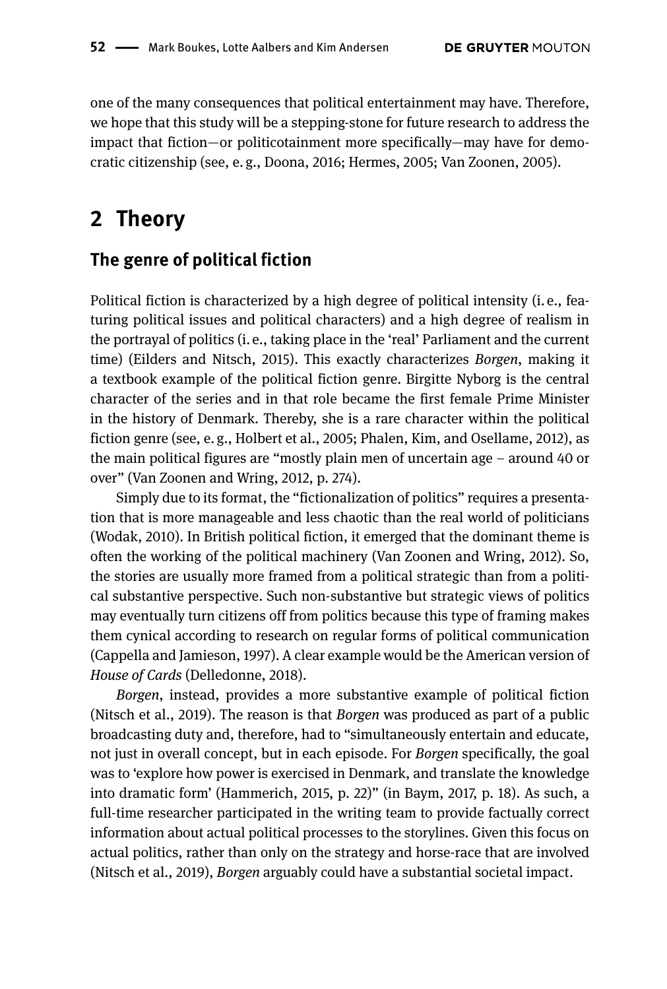one of the many consequences that political entertainment may have. Therefore, we hope that this study will be a stepping-stone for future research to address the impact that fiction—or politicotainment more specifically—may have for democratic citizenship (see, e. g., Doona, 2016; Hermes, 2005; Van Zoonen, 2005).

## **2 Theory**

#### **The genre of political fiction**

Political fiction is characterized by a high degree of political intensity (i. e., featuring political issues and political characters) and a high degree of realism in the portrayal of politics (i. e., taking place in the 'real' Parliament and the current time) (Eilders and Nitsch, 2015). This exactly characterizes *Borgen*, making it a textbook example of the political fiction genre. Birgitte Nyborg is the central character of the series and in that role became the first female Prime Minister in the history of Denmark. Thereby, she is a rare character within the political fiction genre (see, e. g., Holbert et al., 2005; Phalen, Kim, and Osellame, 2012), as the main political figures are "mostly plain men of uncertain age – around 40 or over" (Van Zoonen and Wring, 2012, p. 274).

Simply due to its format, the "fictionalization of politics" requires a presentation that is more manageable and less chaotic than the real world of politicians (Wodak, 2010). In British political fiction, it emerged that the dominant theme is often the working of the political machinery (Van Zoonen and Wring, 2012). So, the stories are usually more framed from a political strategic than from a political substantive perspective. Such non-substantive but strategic views of politics may eventually turn citizens off from politics because this type of framing makes them cynical according to research on regular forms of political communication (Cappella and Jamieson, 1997). A clear example would be the American version of *House of Cards* (Delledonne, 2018).

*Borgen*, instead, provides a more substantive example of political fiction (Nitsch et al., 2019). The reason is that *Borgen* was produced as part of a public broadcasting duty and, therefore, had to "simultaneously entertain and educate, not just in overall concept, but in each episode. For *Borgen* specifically, the goal was to 'explore how power is exercised in Denmark, and translate the knowledge into dramatic form' (Hammerich, 2015, p. 22)" (in Baym, 2017, p. 18). As such, a full-time researcher participated in the writing team to provide factually correct information about actual political processes to the storylines. Given this focus on actual politics, rather than only on the strategy and horse-race that are involved (Nitsch et al., 2019), *Borgen* arguably could have a substantial societal impact.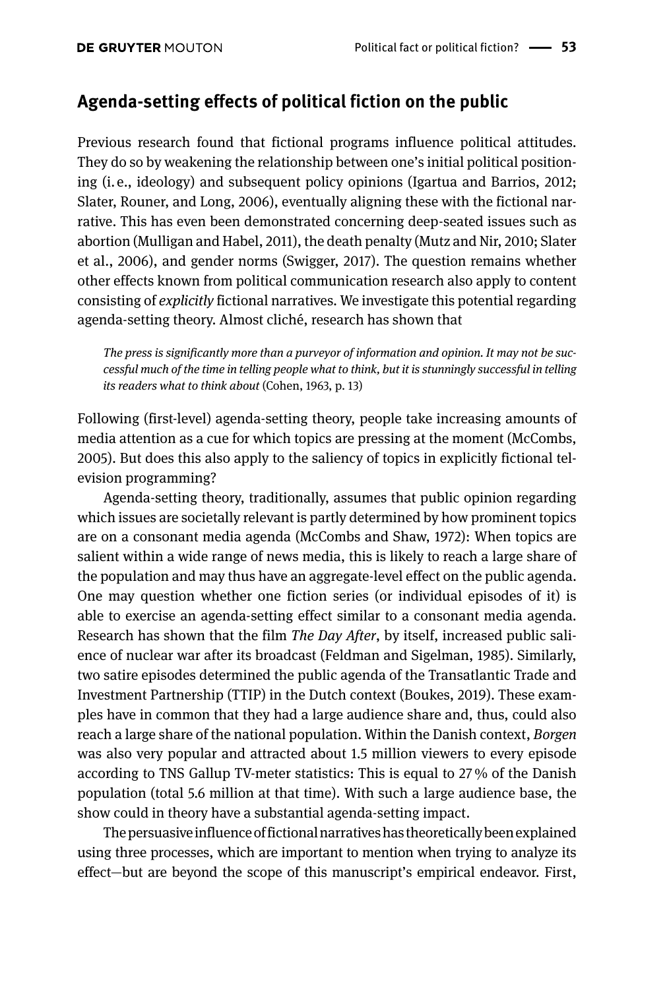#### **Agenda-setting effects of political fiction on the public**

Previous research found that fictional programs influence political attitudes. They do so by weakening the relationship between one's initial political positioning (i. e., ideology) and subsequent policy opinions (Igartua and Barrios, 2012; Slater, Rouner, and Long, 2006), eventually aligning these with the fictional narrative. This has even been demonstrated concerning deep-seated issues such as abortion (Mulligan and Habel, 2011), the death penalty (Mutz and Nir, 2010; Slater et al., 2006), and gender norms (Swigger, 2017). The question remains whether other effects known from political communication research also apply to content consisting of *explicitly* fictional narratives. We investigate this potential regarding agenda-setting theory. Almost cliché, research has shown that

*The press is significantly more than a purveyor of information and opinion. It may not be successful much of the time in telling people what to think, but it is stunningly successful in telling its readers what to think about* (Cohen, 1963, p. 13)

Following (first-level) agenda-setting theory, people take increasing amounts of media attention as a cue for which topics are pressing at the moment (McCombs, 2005). But does this also apply to the saliency of topics in explicitly fictional television programming?

Agenda-setting theory, traditionally, assumes that public opinion regarding which issues are societally relevant is partly determined by how prominent topics are on a consonant media agenda (McCombs and Shaw, 1972): When topics are salient within a wide range of news media, this is likely to reach a large share of the population and may thus have an aggregate-level effect on the public agenda. One may question whether one fiction series (or individual episodes of it) is able to exercise an agenda-setting effect similar to a consonant media agenda. Research has shown that the film *The Day After*, by itself, increased public salience of nuclear war after its broadcast (Feldman and Sigelman, 1985). Similarly, two satire episodes determined the public agenda of the Transatlantic Trade and Investment Partnership (TTIP) in the Dutch context (Boukes, 2019). These examples have in common that they had a large audience share and, thus, could also reach a large share of the national population. Within the Danish context, *Borgen* was also very popular and attracted about 1.5 million viewers to every episode according to TNS Gallup TV-meter statistics: This is equal to 27 % of the Danish population (total 5.6 million at that time). With such a large audience base, the show could in theory have a substantial agenda-setting impact.

The persuasive influence of fictional narratives has theoretically been explained using three processes, which are important to mention when trying to analyze its effect—but are beyond the scope of this manuscript's empirical endeavor. First,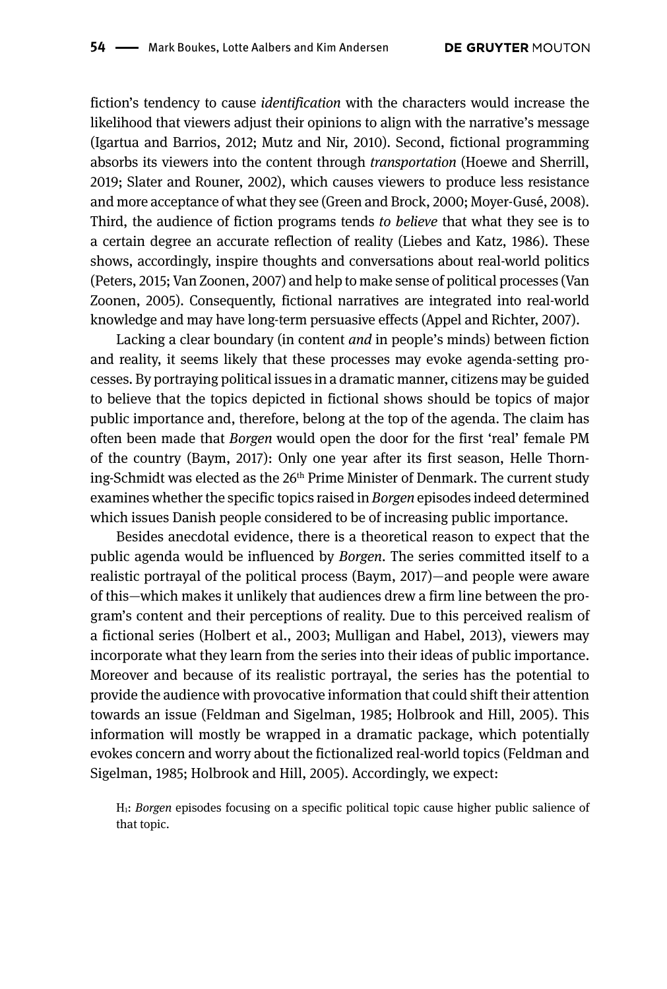fiction's tendency to cause *identification* with the characters would increase the likelihood that viewers adjust their opinions to align with the narrative's message (Igartua and Barrios, 2012; Mutz and Nir, 2010). Second, fictional programming absorbs its viewers into the content through *transportation* (Hoewe and Sherrill, 2019; Slater and Rouner, 2002), which causes viewers to produce less resistance and more acceptance of what they see (Green and Brock, 2000; Moyer-Gusé, 2008). Third, the audience of fiction programs tends *to believe* that what they see is to a certain degree an accurate reflection of reality (Liebes and Katz, 1986). These shows, accordingly, inspire thoughts and conversations about real-world politics (Peters, 2015; Van Zoonen, 2007) and help to make sense of political processes (Van Zoonen, 2005). Consequently, fictional narratives are integrated into real-world knowledge and may have long-term persuasive effects (Appel and Richter, 2007).

Lacking a clear boundary (in content *and* in people's minds) between fiction and reality, it seems likely that these processes may evoke agenda-setting processes. By portraying political issues in a dramatic manner, citizens may be guided to believe that the topics depicted in fictional shows should be topics of major public importance and, therefore, belong at the top of the agenda. The claim has often been made that *Borgen* would open the door for the first 'real' female PM of the country (Baym, 2017): Only one year after its first season, Helle Thorning-Schmidt was elected as the 26<sup>th</sup> Prime Minister of Denmark. The current study examines whether the specific topics raised in *Borgen* episodes indeed determined which issues Danish people considered to be of increasing public importance.

Besides anecdotal evidence, there is a theoretical reason to expect that the public agenda would be influenced by *Borgen*. The series committed itself to a realistic portrayal of the political process (Baym, 2017)—and people were aware of this—which makes it unlikely that audiences drew a firm line between the program's content and their perceptions of reality. Due to this perceived realism of a fictional series (Holbert et al., 2003; Mulligan and Habel, 2013), viewers may incorporate what they learn from the series into their ideas of public importance. Moreover and because of its realistic portrayal, the series has the potential to provide the audience with provocative information that could shift their attention towards an issue (Feldman and Sigelman, 1985; Holbrook and Hill, 2005). This information will mostly be wrapped in a dramatic package, which potentially evokes concern and worry about the fictionalized real-world topics (Feldman and Sigelman, 1985; Holbrook and Hill, 2005). Accordingly, we expect:

H1: *Borgen* episodes focusing on a specific political topic cause higher public salience of that topic.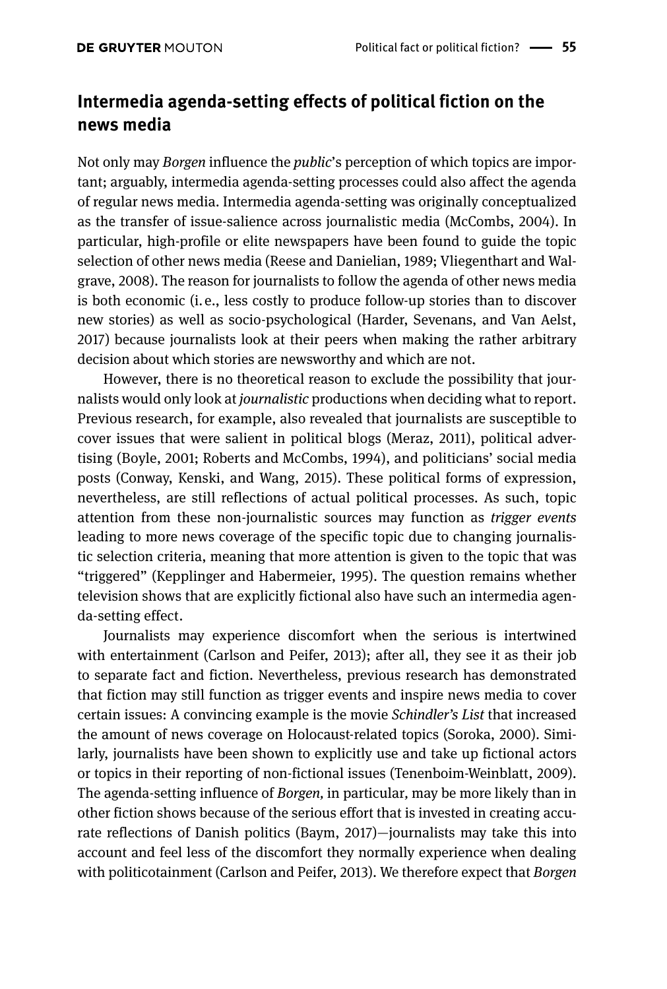### **Intermedia agenda-setting effects of political fiction on the news media**

Not only may *Borgen* influence the *public*'s perception of which topics are important; arguably, intermedia agenda-setting processes could also affect the agenda of regular news media. Intermedia agenda-setting was originally conceptualized as the transfer of issue-salience across journalistic media (McCombs, 2004). In particular, high-profile or elite newspapers have been found to guide the topic selection of other news media (Reese and Danielian, 1989; Vliegenthart and Walgrave, 2008). The reason for journalists to follow the agenda of other news media is both economic (i. e., less costly to produce follow-up stories than to discover new stories) as well as socio-psychological (Harder, Sevenans, and Van Aelst, 2017) because journalists look at their peers when making the rather arbitrary decision about which stories are newsworthy and which are not.

However, there is no theoretical reason to exclude the possibility that journalists would only look at *journalistic* productions when deciding what to report. Previous research, for example, also revealed that journalists are susceptible to cover issues that were salient in political blogs (Meraz, 2011), political advertising (Boyle, 2001; Roberts and McCombs, 1994), and politicians' social media posts (Conway, Kenski, and Wang, 2015). These political forms of expression, nevertheless, are still reflections of actual political processes. As such, topic attention from these non-journalistic sources may function as *trigger events* leading to more news coverage of the specific topic due to changing journalistic selection criteria, meaning that more attention is given to the topic that was "triggered" (Kepplinger and Habermeier, 1995). The question remains whether television shows that are explicitly fictional also have such an intermedia agenda-setting effect.

Journalists may experience discomfort when the serious is intertwined with entertainment (Carlson and Peifer, 2013); after all, they see it as their job to separate fact and fiction. Nevertheless, previous research has demonstrated that fiction may still function as trigger events and inspire news media to cover certain issues: A convincing example is the movie *Schindler's List* that increased the amount of news coverage on Holocaust-related topics (Soroka, 2000). Similarly, journalists have been shown to explicitly use and take up fictional actors or topics in their reporting of non-fictional issues (Tenenboim-Weinblatt, 2009). The agenda-setting influence of *Borgen,* in particular*,* may be more likely than in other fiction shows because of the serious effort that is invested in creating accurate reflections of Danish politics (Baym, 2017)—journalists may take this into account and feel less of the discomfort they normally experience when dealing with politicotainment (Carlson and Peifer, 2013). We therefore expect that *Borgen*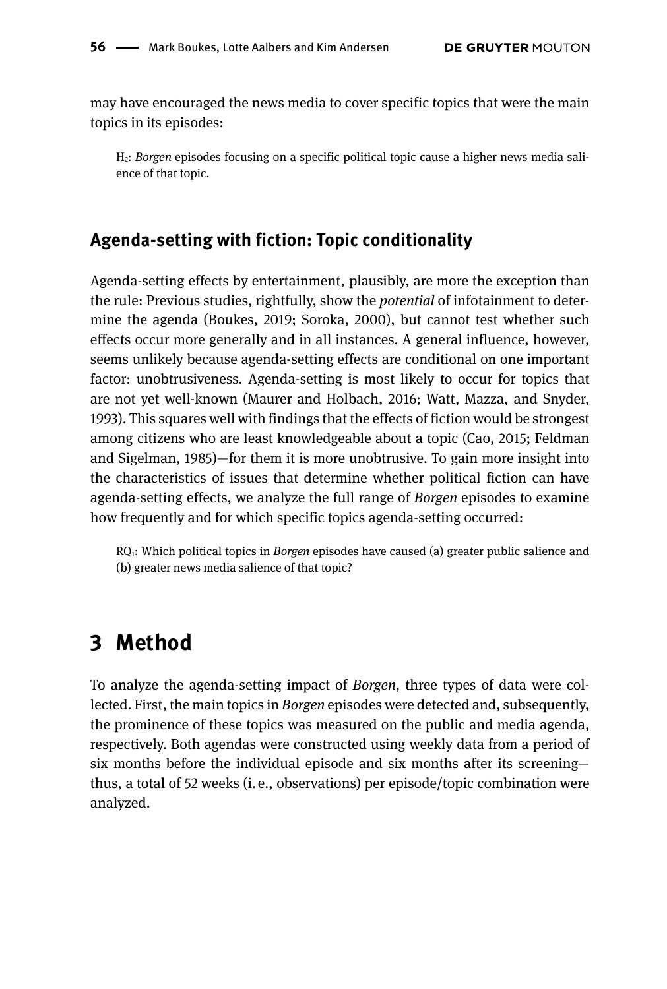may have encouraged the news media to cover specific topics that were the main topics in its episodes:

H2: *Borgen* episodes focusing on a specific political topic cause a higher news media salience of that topic.

#### **Agenda-setting with fiction: Topic conditionality**

Agenda-setting effects by entertainment, plausibly, are more the exception than the rule: Previous studies, rightfully, show the *potential* of infotainment to determine the agenda (Boukes, 2019; Soroka, 2000), but cannot test whether such effects occur more generally and in all instances. A general influence, however, seems unlikely because agenda-setting effects are conditional on one important factor: unobtrusiveness. Agenda-setting is most likely to occur for topics that are not yet well-known (Maurer and Holbach, 2016; Watt, Mazza, and Snyder, 1993). This squares well with findings that the effects of fiction would be strongest among citizens who are least knowledgeable about a topic (Cao, 2015; Feldman and Sigelman, 1985)—for them it is more unobtrusive. To gain more insight into the characteristics of issues that determine whether political fiction can have agenda-setting effects, we analyze the full range of *Borgen* episodes to examine how frequently and for which specific topics agenda-setting occurred:

RQ1: Which political topics in *Borgen* episodes have caused (a) greater public salience and (b) greater news media salience of that topic?

### **3 Method**

To analyze the agenda-setting impact of *Borgen*, three types of data were collected. First, the main topics in *Borgen* episodes were detected and, subsequently, the prominence of these topics was measured on the public and media agenda, respectively. Both agendas were constructed using weekly data from a period of six months before the individual episode and six months after its screening thus, a total of 52 weeks (i. e., observations) per episode/topic combination were analyzed.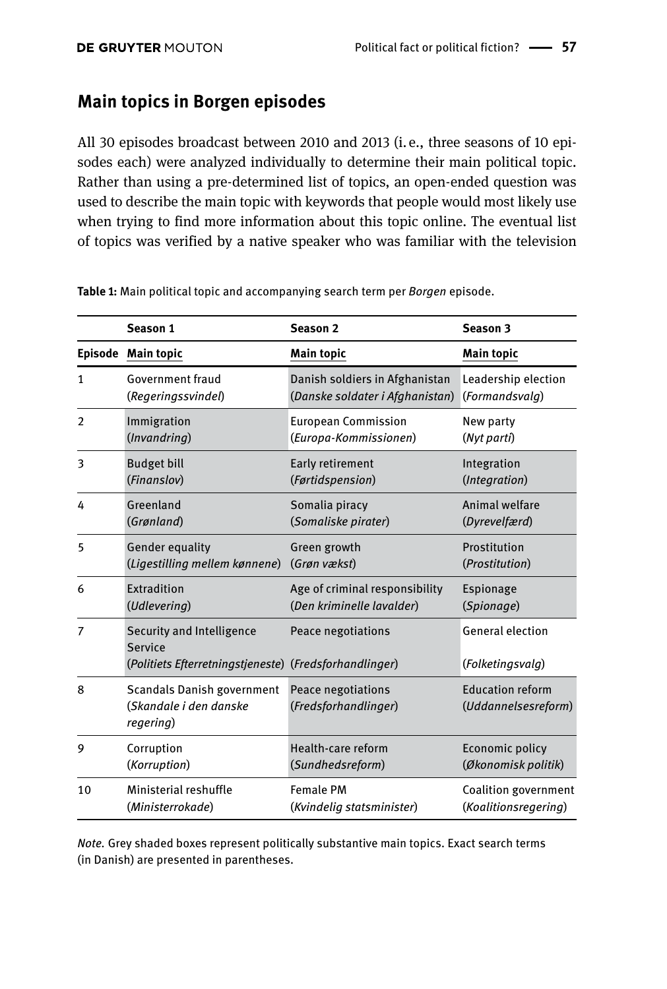#### **Main topics in Borgen episodes**

All 30 episodes broadcast between 2010 and 2013 (i. e., three seasons of 10 episodes each) were analyzed individually to determine their main political topic. Rather than using a pre-determined list of topics, an open-ended question was used to describe the main topic with keywords that people would most likely use when trying to find more information about this topic online. The eventual list of topics was verified by a native speaker who was familiar with the television

|                | Season 1                                                                                       | Season <sub>2</sub>                        | Season 3                                       |
|----------------|------------------------------------------------------------------------------------------------|--------------------------------------------|------------------------------------------------|
|                | Episode Main topic                                                                             | <b>Main topic</b>                          | <b>Main topic</b>                              |
| 1              | Government fraud                                                                               | Danish soldiers in Afghanistan             | Leadership election                            |
|                | (Regeringssvindel)                                                                             | (Danske soldater i Afghanistan)            | (Formandsvalg)                                 |
| $\overline{2}$ | Immigration                                                                                    | <b>European Commission</b>                 | New party                                      |
|                | (Invandring)                                                                                   | (Europa-Kommissionen)                      | (Nyt parti)                                    |
| 3              | <b>Budget bill</b>                                                                             | Early retirement                           | Integration                                    |
|                | (Finanslov)                                                                                    | (Førtidspension)                           | (Integration)                                  |
| 4              | Greenland                                                                                      | Somalia piracy                             | Animal welfare                                 |
|                | (Grønland)                                                                                     | (Somaliske pirater)                        | (Dyrevelfærd)                                  |
| 5              | <b>Gender equality</b>                                                                         | Green growth                               | Prostitution                                   |
|                | (Ligestilling mellem kønnene)                                                                  | (Grøn vækst)                               | (Prostitution)                                 |
| 6              | Extradition                                                                                    | Age of criminal responsibility             | Espionage                                      |
|                | (Udlevering)                                                                                   | (Den kriminelle lavalder)                  | (Spionage)                                     |
| 7              | Security and Intelligence<br>Service<br>(Politiets Efterretningstjeneste) (Fredsforhandlinger) | Peace negotiations                         | <b>General election</b><br>(Folketingsvalg)    |
| 8              | <b>Scandals Danish government</b><br>(Skandale i den danske<br>regering)                       | Peace negotiations<br>(Fredsforhandlinger) | <b>Education reform</b><br>(Uddannelsesreform) |
| 9              | Corruption                                                                                     | Health-care reform                         | Economic policy                                |
|                | (Korruption)                                                                                   | (Sundhedsreform)                           | (Økonomisk politik)                            |
| 10             | Ministerial reshuffle                                                                          | <b>Female PM</b>                           | Coalition government                           |
|                | (Ministerrokade)                                                                               | (Kvindelig statsminister)                  | (Koalitionsregering)                           |

**Table 1:** Main political topic and accompanying search term per *Borgen* episode.

*Note.* Grey shaded boxes represent politically substantive main topics. Exact search terms (in Danish) are presented in parentheses.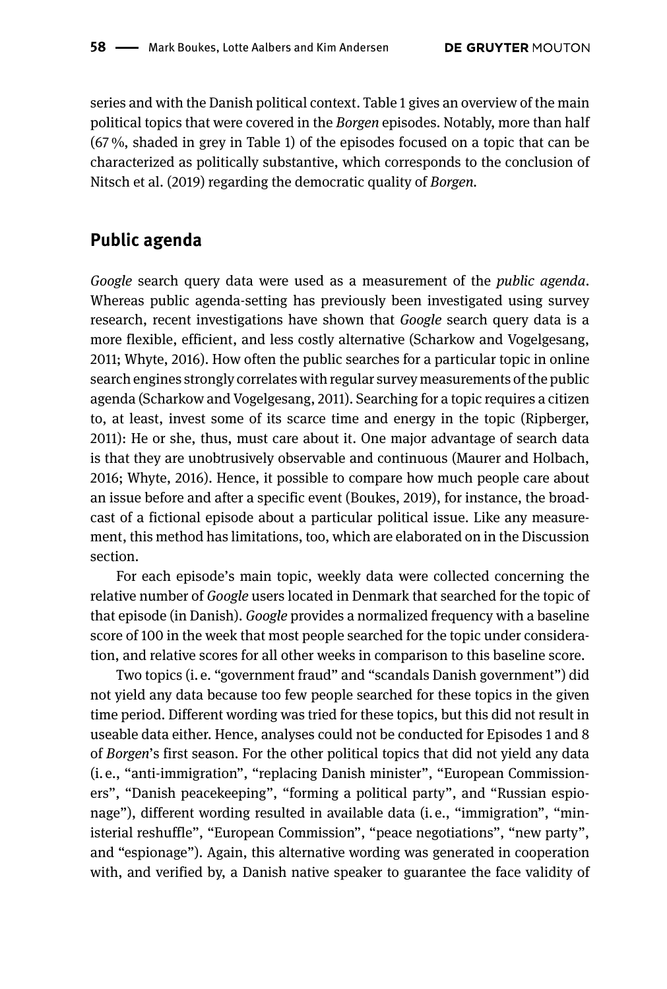series and with the Danish political context. Table 1 gives an overview of the main political topics that were covered in the *Borgen* episodes. Notably, more than half (67 %, shaded in grey in Table 1) of the episodes focused on a topic that can be characterized as politically substantive, which corresponds to the conclusion of Nitsch et al. (2019) regarding the democratic quality of *Borgen.*

#### **Public agenda**

*Google* search query data were used as a measurement of the *public agenda*. Whereas public agenda-setting has previously been investigated using survey research, recent investigations have shown that *Google* search query data is a more flexible, efficient, and less costly alternative (Scharkow and Vogelgesang, 2011; Whyte, 2016). How often the public searches for a particular topic in online search engines strongly correlates with regular survey measurements of the public agenda (Scharkow and Vogelgesang, 2011). Searching for a topic requires a citizen to, at least, invest some of its scarce time and energy in the topic (Ripberger, 2011): He or she, thus, must care about it. One major advantage of search data is that they are unobtrusively observable and continuous (Maurer and Holbach, 2016; Whyte, 2016). Hence, it possible to compare how much people care about an issue before and after a specific event (Boukes, 2019), for instance, the broadcast of a fictional episode about a particular political issue. Like any measurement, this method has limitations, too, which are elaborated on in the Discussion section.

For each episode's main topic, weekly data were collected concerning the relative number of *Google* users located in Denmark that searched for the topic of that episode (in Danish). *Google* provides a normalized frequency with a baseline score of 100 in the week that most people searched for the topic under consideration, and relative scores for all other weeks in comparison to this baseline score.

Two topics (i. e. "government fraud" and "scandals Danish government") did not yield any data because too few people searched for these topics in the given time period. Different wording was tried for these topics, but this did not result in useable data either. Hence, analyses could not be conducted for Episodes 1 and 8 of *Borgen*'s first season. For the other political topics that did not yield any data (i. e., "anti-immigration", "replacing Danish minister", "European Commissioners", "Danish peacekeeping", "forming a political party", and "Russian espionage"), different wording resulted in available data (i.e., "immigration", "ministerial reshuffle", "European Commission", "peace negotiations", "new party", and "espionage"). Again, this alternative wording was generated in cooperation with, and verified by, a Danish native speaker to guarantee the face validity of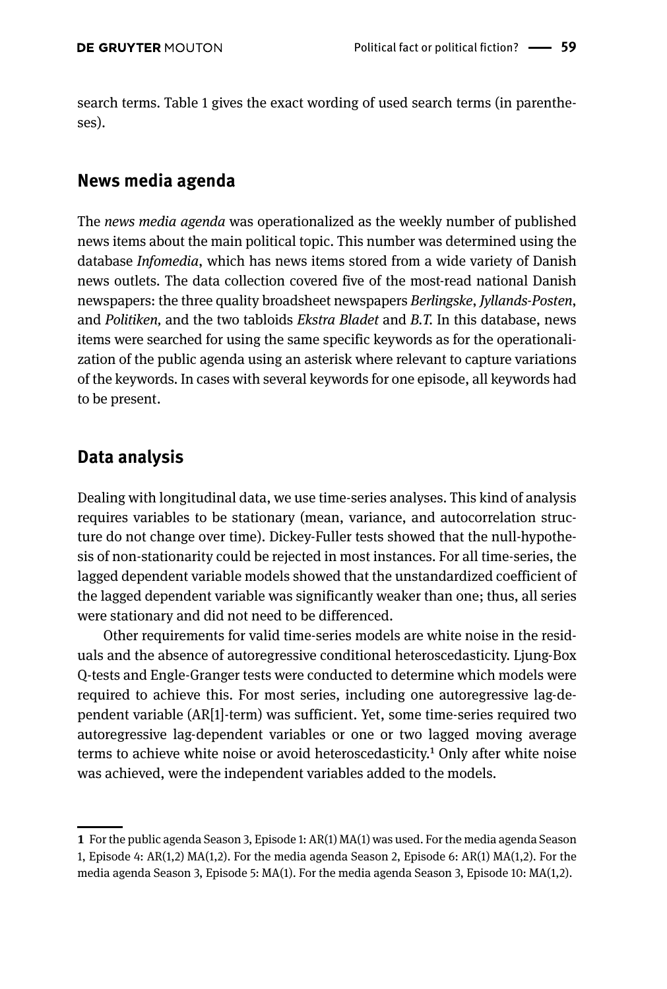search terms. Table 1 gives the exact wording of used search terms (in parentheses).

#### **News media agenda**

The *news media agenda* was operationalized as the weekly number of published news items about the main political topic. This number was determined using the database *Infomedia*, which has news items stored from a wide variety of Danish news outlets. The data collection covered five of the most-read national Danish newspapers: the three quality broadsheet newspapers *Berlingske*, *Jyllands-Posten*, and *Politiken,* and the two tabloids *Ekstra Bladet* and *B.T.* In this database, news items were searched for using the same specific keywords as for the operationalization of the public agenda using an asterisk where relevant to capture variations of the keywords. In cases with several keywords for one episode, all keywords had to be present.

#### **Data analysis**

Dealing with longitudinal data, we use time-series analyses. This kind of analysis requires variables to be stationary (mean, variance, and autocorrelation structure do not change over time). Dickey-Fuller tests showed that the null-hypothesis of non-stationarity could be rejected in most instances. For all time-series, the lagged dependent variable models showed that the unstandardized coefficient of the lagged dependent variable was significantly weaker than one; thus, all series were stationary and did not need to be differenced.

Other requirements for valid time-series models are white noise in the residuals and the absence of autoregressive conditional heteroscedasticity. Ljung-Box Q-tests and Engle-Granger tests were conducted to determine which models were required to achieve this. For most series, including one autoregressive lag-dependent variable (AR[1]-term) was sufficient. Yet, some time-series required two autoregressive lag-dependent variables or one or two lagged moving average terms to achieve white noise or avoid heteroscedasticity.<sup>1</sup> Only after white noise was achieved, were the independent variables added to the models.

**<sup>1</sup>** For the public agenda Season 3, Episode 1: AR(1) MA(1) was used. For the media agenda Season 1, Episode 4: AR(1,2) MA(1,2). For the media agenda Season 2, Episode 6: AR(1) MA(1,2). For the media agenda Season 3, Episode 5: MA(1). For the media agenda Season 3, Episode 10: MA(1,2).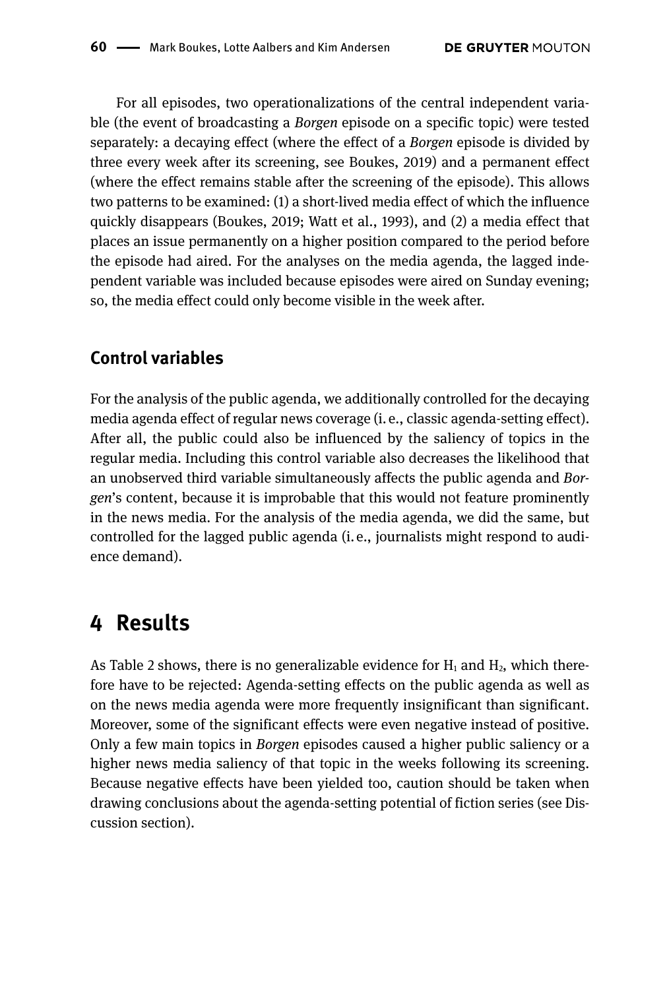For all episodes, two operationalizations of the central independent variable (the event of broadcasting a *Borgen* episode on a specific topic) were tested separately: a decaying effect (where the effect of a *Borgen* episode is divided by three every week after its screening, see Boukes, 2019) and a permanent effect (where the effect remains stable after the screening of the episode). This allows two patterns to be examined: (1) a short-lived media effect of which the influence quickly disappears (Boukes, 2019; Watt et al., 1993), and (2) a media effect that places an issue permanently on a higher position compared to the period before the episode had aired. For the analyses on the media agenda, the lagged independent variable was included because episodes were aired on Sunday evening; so, the media effect could only become visible in the week after.

#### **Control variables**

For the analysis of the public agenda, we additionally controlled for the decaying media agenda effect of regular news coverage (i. e., classic agenda-setting effect). After all, the public could also be influenced by the saliency of topics in the regular media. Including this control variable also decreases the likelihood that an unobserved third variable simultaneously affects the public agenda and *Borgen*'s content, because it is improbable that this would not feature prominently in the news media. For the analysis of the media agenda, we did the same, but controlled for the lagged public agenda (i. e., journalists might respond to audience demand).

### **4 Results**

As Table 2 shows, there is no generalizable evidence for  $H_1$  and  $H_2$ , which therefore have to be rejected: Agenda-setting effects on the public agenda as well as on the news media agenda were more frequently insignificant than significant. Moreover, some of the significant effects were even negative instead of positive. Only a few main topics in *Borgen* episodes caused a higher public saliency or a higher news media saliency of that topic in the weeks following its screening. Because negative effects have been yielded too, caution should be taken when drawing conclusions about the agenda-setting potential of fiction series (see Discussion section).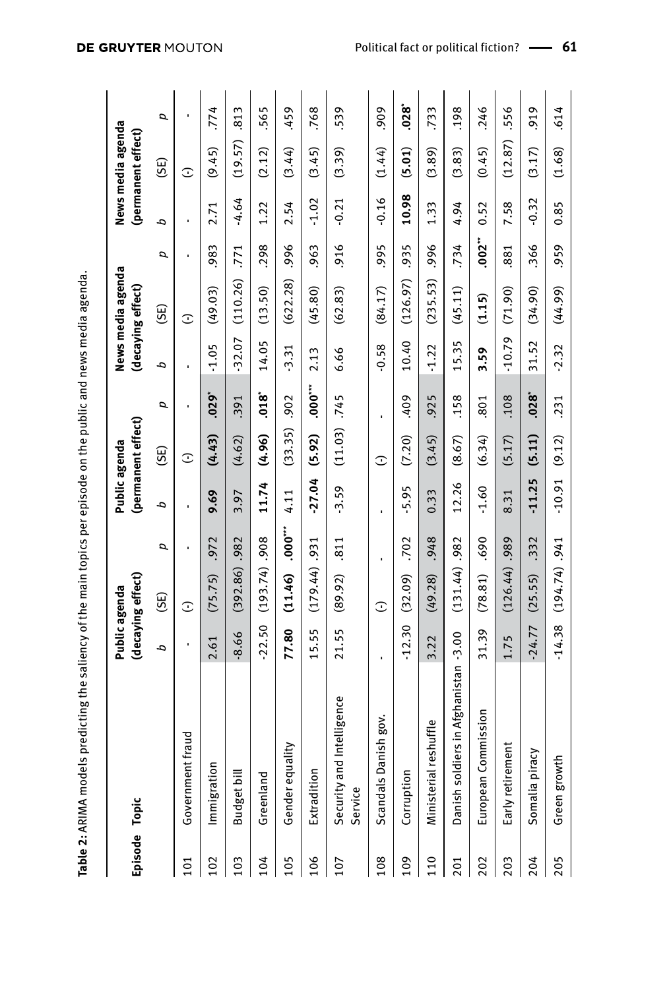| ı        |
|----------|
|          |
|          |
|          |
|          |
|          |
|          |
|          |
|          |
|          |
|          |
|          |
|          |
|          |
|          |
|          |
|          |
|          |
|          |
|          |
|          |
|          |
|          |
| ı        |
|          |
| Table 2: |
|          |

| Episode Topic |                                          | Public agenda  | (decaying effect) |        | Public agenda | (permanent effect) |          | (decaying effect) | News media agenda |       |                | News media agenda<br>(permanent effect) |            |
|---------------|------------------------------------------|----------------|-------------------|--------|---------------|--------------------|----------|-------------------|-------------------|-------|----------------|-----------------------------------------|------------|
|               |                                          | م              | (SE)              | p      | م             | (SE)               | p        | م                 | (35)              | d     | ρ              | $\widetilde{\Xi}$                       | p          |
| 101           | Government fraud                         | ٠              | ⊙                 | ï      | f,            | G                  | ï        | ٠                 | ⊙                 | ı     | $\blacksquare$ | $\mathbb C$                             | ï          |
| 102           | Immigration                              | 2.61           | (75.75)           | .972   | 9.69          | (4.43)             | $.029*$  | $-1.05$           | (49.03)           | .983  | 2.71           | (9.45)                                  | .774       |
| 103           | Budget bill                              | 8.66           | (392.86)          | .982   | 3.97          | (4.62)             | .391     | $-32.07$          | (110.26)          | .771  | $-4.64$        | (19.57)                                 | 813        |
| 104           | Greenland                                | $-22.50$       | (193.74)          | 806.   | 11.74         | (4.96)             | .018     | 14.05             | (13.50)           | .298  | 1.22           | (2.12)                                  | 565        |
| 105           | uality<br>Gender equ                     | 77.80          | (11.46)           | $-000$ | 4.11          | (33.35)            | .902     | $-3.31$           | (622.28)          | ,996  | 2.54           | (3.44)                                  | .459       |
| 106           | Extradition                              | 15.55          | (179.44)          | .931   | $-27.04$      | (5.92)             | .000     | 2.13              | (45.80)           | .963  | $-1.02$        | (3.45)                                  | .768       |
| 107           | Security and Intelligence<br>Service     | 21.55          | (89.92)           | .811   | $-3.59$       | (11.03)            | .745     | 6.66              | (62.83)           | .916  | $-0.21$        | (3.39)                                  | .539       |
| 108           | Scandals Danish gov.                     | $\blacksquare$ | $\mathbb{C}$      |        | ï             | G                  | ٠        | $-0.58$           | (84.17)           | ,995  | $-0.16$        | (1.44)                                  | ,909       |
| 109           | Corruption                               | $-12.30$       | (32.09)           | .702   | $-5.95$       | (7.20)             | .409     | 10.40             | (126.97)          | .935  | 10.98          | (5.01)                                  | $.028^{*}$ |
| 110           | reshuffle<br>Ministerial                 | 3.22           | (49.28)           | .948   | 0.33          | (3.45)             | .925     | $-1.22$           | (235.53)          | 996.  | 1.33           | (3.89)                                  | .733       |
| 201           | diers in Afghanistan -3.00<br>Danish sol |                | (131.44)          | .982   | 12.26         | (8.67)             | .158     | 15.35             | (45.11)           | .734  | 4.94           | (3.83)                                  | .198       |
| 202           | ommission<br>European C                  | 31.39          | (78.81)           | .690   | $-1.60$       | (6.34)             | .801     | 3.59              | (1.15)            | .002" | 0.52           | (0.45)                                  | .246       |
| 203           | Early retirement                         | 1.75           | (126.44)          | .989   | 8.31          | (5.17)             | .108     | $-10.79$          | (71.90)           | .881  | 7.58           | (12.87)                                 | .556       |
| 204           | Voe,<br>Somalia pir                      | $-24.77$       | (25.55)           | .332   | $-11.25$      | (5.11)             | $.028^*$ | 31.52             | (34.90)           | .366  | $-0.32$        | (3.17)                                  | .919       |
| 205           | Green growth                             | $-14.38$       | $(194.74)$ .      |        | $-10.91$      | (9.12)             | .231     | $-2.32$           | (44.99)           | .959  | 0.85           | (1.68)                                  | .614       |
|               |                                          |                |                   |        |               |                    |          |                   |                   |       |                |                                         |            |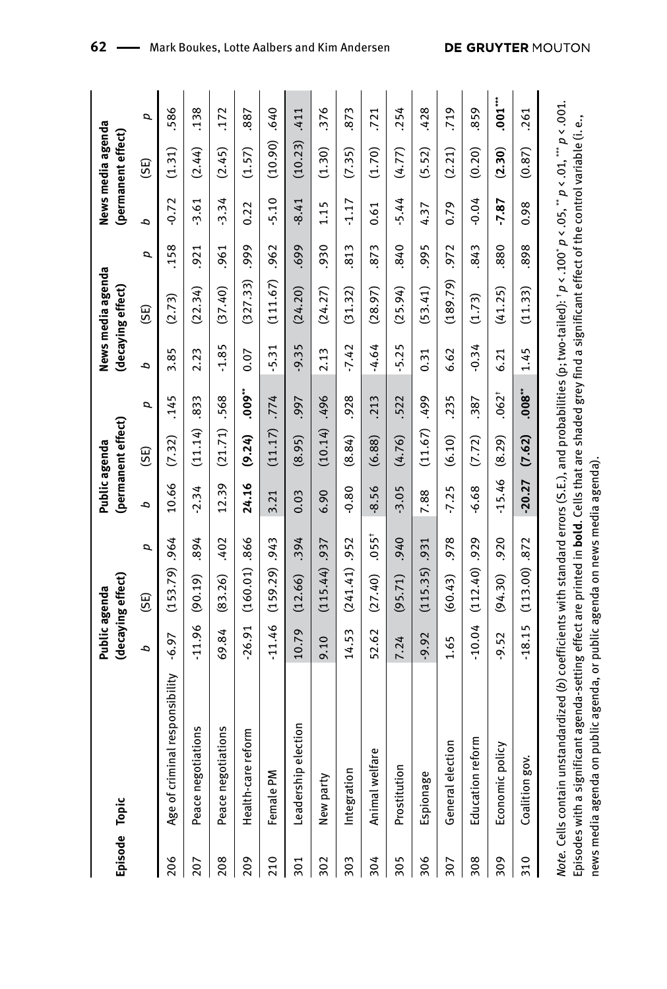| Episode Topic |                                                                                                                                                                 | Public agenda | (decaying effect) |          | Public agenda | (permanent effect) |            |         | News media agenda<br>(decaying effect) |      |         | News media agenda<br>(permanent effect) |      |
|---------------|-----------------------------------------------------------------------------------------------------------------------------------------------------------------|---------------|-------------------|----------|---------------|--------------------|------------|---------|----------------------------------------|------|---------|-----------------------------------------|------|
|               |                                                                                                                                                                 | م             | $\widetilde{\Xi}$ | σ        | م             | (SE)               | σ          | q,      | (SE)                                   | σ    | d       | (SE)                                    | σ    |
| 206           | Age of criminal responsibility                                                                                                                                  | $-6.97$       | (153.79)          | .964     | 10.66         | (7.32)             | .145       | 3.85    | (2.73)                                 | .158 | $-0.72$ | (1.31)                                  | 586  |
| 207           | Peace negotiations                                                                                                                                              | $-11.96$      | (90.19)           | 894      | $-2.34$       | (11.14)            | .833       | 2.23    | (22.34)                                | 921  | $-3.61$ | (2.44)                                  | .138 |
| 208           | Peace negotiations                                                                                                                                              | 69.84         | (83.26)           | .402     | 12.39         | (21.71)            | .568       | $-1.85$ | (37.40)                                | .961 | $-3.34$ | (2.45)                                  | 172  |
| 209           | Health-care reform                                                                                                                                              | $-26.91$      | (160.01)          | .866     | 24.16         | (9.24)             | $.009**$   | 0.07    | (327.33)                               | ,999 | 0.22    | (1.57)                                  | 887  |
| 210           | Female PM                                                                                                                                                       | $-11.46$      | (159.29)          | .943     | 3.21          | (11.17)            | .774       | $-5.31$ | (111.67)                               | .962 | $-5.10$ | (10.90)                                 | .640 |
| 301           | election<br>Leadership                                                                                                                                          | 10.79         | (12.66)           | .394     | 0.03          | (8.95)             | .997       | $-9.35$ | (24.20)                                | .699 | $-8.41$ | (10.23)                                 | .411 |
| 302           | New party                                                                                                                                                       | 9.10          | (115.44)          | .937     | 6.90          | (10.14)            | ,496       | 2.13    | (24.27)                                | .930 | 1.15    | (1.30)                                  | 376  |
| 303           | Integration                                                                                                                                                     | 14.53         | (241.41)          | .952     | $-0.80$       | (8.84)             | .928       | $-7.42$ | (31.32)                                | 813  | $-1.17$ | (7.35)                                  | 873  |
| 304           | fare<br>Animal wel                                                                                                                                              | 52.62         | (27.40)           | $.055^+$ | $-8.56$       | (6.88)             | .213       | $-4.64$ | (28.97)                                | 873  | 0.61    | (1.70)                                  | 721  |
| 305           | Prostitution                                                                                                                                                    | 7.24          | (95.71)           | .940     | $-3.05$       | (4.76)             | .522       | $-5.25$ | (25.94)                                | .840 | $-5.44$ | (4.77)                                  | .254 |
| 306           | Espionage                                                                                                                                                       | $-9.92$       | (115.35)          | .931     | 7.88          | (11.67)            | 667.       | 0.31    | (53.41)                                | ,995 | 4.37    | (5.52)                                  | .428 |
| 307           | General election                                                                                                                                                | 1.65          | (60.43)           | 978      | $-7.25$       | (6.10)             | .235       | 6.62    | (189.79)                               | .972 | 0.79    | (2.21)                                  | ,719 |
| 308           | reform<br>Education                                                                                                                                             | $-10.04$      | $(112.40)$ .929   |          | $-6.68$       | (7.72)             | .387       | $-0.34$ | (1.73)                                 | .843 | $-0.04$ | (0.20)                                  | 859  |
| 309           | Economic policy                                                                                                                                                 | $-9.52$       | (94.30)           | .920     | $-15.46$      | (8.29)             | $.062^{+}$ | 6.21    | (41.25)                                | 880  | $-7.87$ | (2.30)                                  | .001 |
| 310           | š.<br>Coalition go                                                                                                                                              | $-18.15$      | $(113.00)$ .872   |          | $-20.27$      | (7.62)             | .008       | 1.45    | (11.33)                                | 898  | 0.98    | (0.87)                                  | 261  |
|               | istandardized (b) coefficients with standard errors (S.E.), and probabilities (p; two-tailed): $p$ < .100* $p$ < .005, ** $p$ < .001.<br>Note. Cells contain un |               |                   |          |               |                    |            |         |                                        |      |         |                                         |      |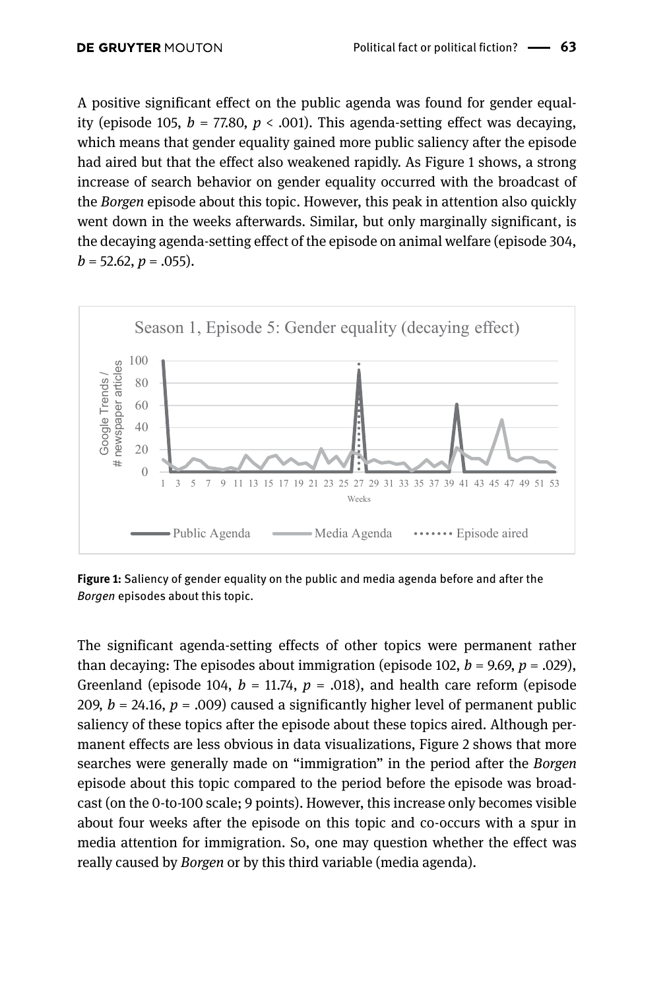A positive significant effect on the public agenda was found for gender equality (episode 105,  $b = 77.80$ ,  $p < .001$ ). This agenda-setting effect was decaying, which means that gender equality gained more public saliency after the episode had aired but that the effect also weakened rapidly. As Figure 1 shows, a strong increase of search behavior on gender equality occurred with the broadcast of the *Borgen* episode about this topic. However, this peak in attention also quickly went down in the weeks afterwards. Similar, but only marginally significant, is the decaying agenda-setting effect of the episode on animal welfare (episode 304,  $b = 52.62, p = .055$ ).



**Figure 1:** Saliency of gender equality on the public and media agenda before and after the *Borgen* episodes about this topic.

The significant agenda-setting effects of other topics were permanent rather than decaying: The episodes about immigration (episode 102,  $b = 9.69$ ,  $p = .029$ ), Greenland (episode 104,  $b = 11.74$ ,  $p = .018$ ), and health care reform (episode 209,  $b = 24.16$ ,  $p = .009$ ) caused a significantly higher level of permanent public saliency of these topics after the episode about these topics aired. Although permanent effects are less obvious in data visualizations, Figure 2 shows that more searches were generally made on "immigration" in the period after the *Borgen* episode about this topic compared to the period before the episode was broadcast (on the 0-to-100 scale; 9 points). However, this increase only becomes visible about four weeks after the episode on this topic and co-occurs with a spur in media attention for immigration. So, one may question whether the effect was really caused by *Borgen* or by this third variable (media agenda).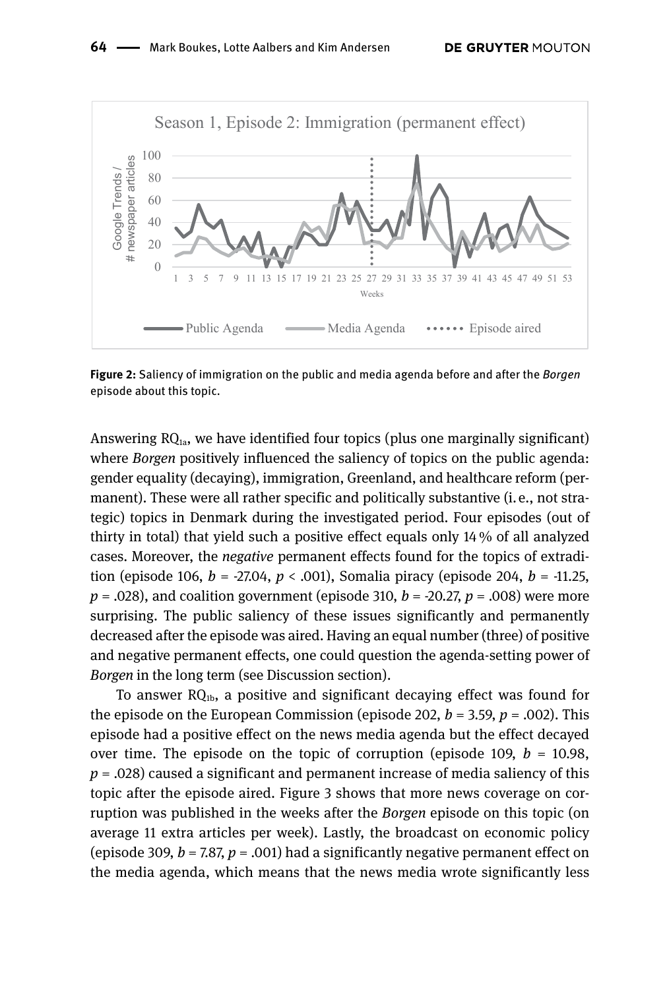

**Figure 2:** Saliency of immigration on the public and media agenda before and after the *Borgen* episode about this topic.

Answering  $RQ<sub>1a</sub>$ , we have identified four topics (plus one marginally significant) where *Borgen* positively influenced the saliency of topics on the public agenda: gender equality (decaying), immigration, Greenland, and healthcare reform (permanent). These were all rather specific and politically substantive (i. e., not strategic) topics in Denmark during the investigated period. Four episodes (out of thirty in total) that yield such a positive effect equals only 14 % of all analyzed cases. Moreover, the *negative* permanent effects found for the topics of extradition (episode 106, *b* = -27.04, *p* < .001), Somalia piracy (episode 204, *b* = -11.25,  $p = 0.028$ , and coalition government (episode 310,  $b = -20.27$ ,  $p = 0.008$ ) were more surprising. The public saliency of these issues significantly and permanently decreased after the episode was aired. Having an equal number (three) of positive and negative permanent effects, one could question the agenda-setting power of *Borgen* in the long term (see Discussion section).

To answer  $RQ<sub>1b</sub>$ , a positive and significant decaying effect was found for the episode on the European Commission (episode 202,  $b = 3.59$ ,  $p = .002$ ). This episode had a positive effect on the news media agenda but the effect decayed over time. The episode on the topic of corruption (episode 109,  $b = 10.98$ ,  $p = 0.028$  caused a significant and permanent increase of media saliency of this topic after the episode aired. Figure 3 shows that more news coverage on corruption was published in the weeks after the *Borgen* episode on this topic (on average 11 extra articles per week). Lastly, the broadcast on economic policy (episode 309,  $b = 7.87$ ,  $p = .001$ ) had a significantly negative permanent effect on the media agenda, which means that the news media wrote significantly less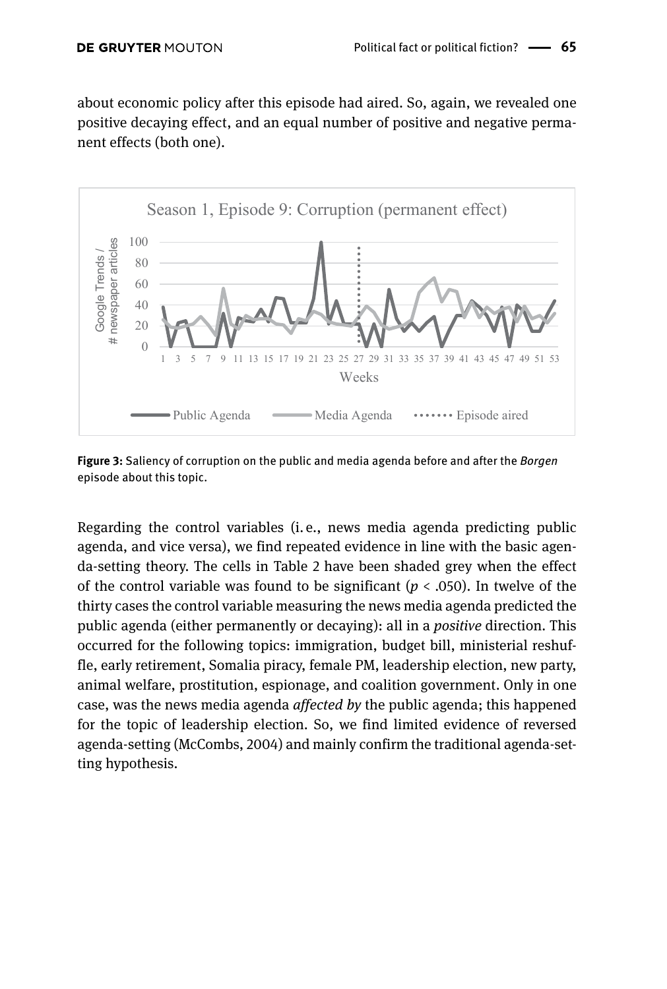about economic policy after this episode had aired. So, again, we revealed one positive decaying effect, and an equal number of positive and negative permanent effects (both one).



**Figure 3:** Saliency of corruption on the public and media agenda before and after the *Borgen* episode about this topic.

Regarding the control variables (i.  e., news media agenda predicting public agenda, and vice versa), we find repeated evidence in line with the basic agenda-setting theory. The cells in Table 2 have been shaded grey when the effect of the control variable was found to be significant ( $p < .050$ ). In twelve of the thirty cases the control variable measuring the news media agenda predicted the public agenda (either permanently or decaying): all in a *positive* direction. This occurred for the following topics: immigration, budget bill, ministerial reshuffle, early retirement, Somalia piracy, female PM, leadership election, new party, animal welfare, prostitution, espionage, and coalition government. Only in one case, was the news media agenda *affected by* the public agenda; this happened for the topic of leadership election. So, we find limited evidence of reversed agenda-setting (McCombs, 2004) and mainly confirm the traditional agenda-setting hypothesis.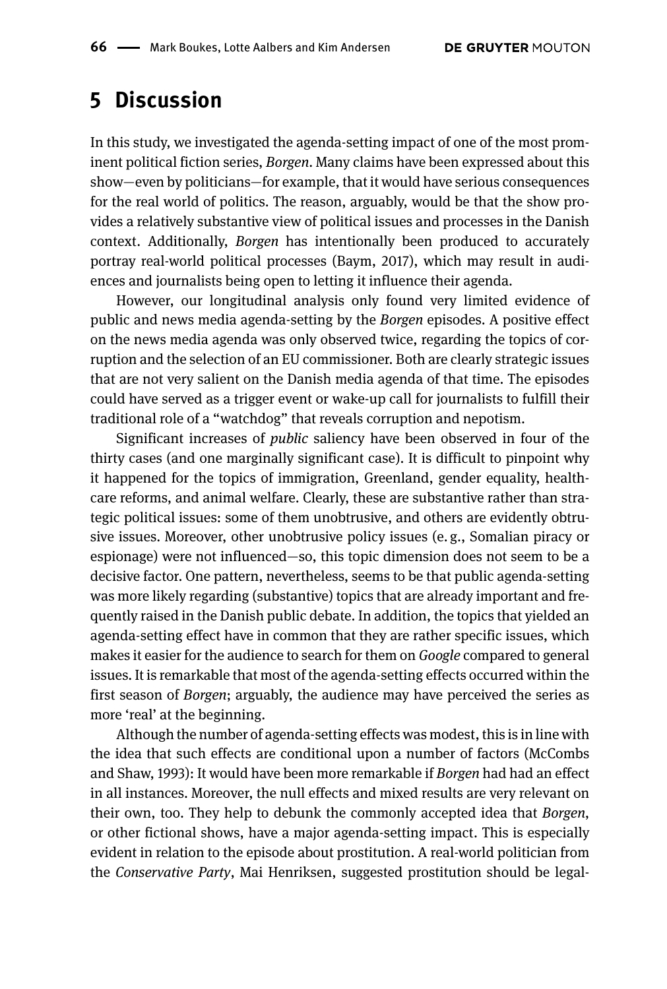### **5 Discussion**

In this study, we investigated the agenda-setting impact of one of the most prominent political fiction series, *Borgen*. Many claims have been expressed about this show—even by politicians—for example, that it would have serious consequences for the real world of politics. The reason, arguably, would be that the show provides a relatively substantive view of political issues and processes in the Danish context. Additionally, *Borgen* has intentionally been produced to accurately portray real-world political processes (Baym, 2017), which may result in audiences and journalists being open to letting it influence their agenda.

However, our longitudinal analysis only found very limited evidence of public and news media agenda-setting by the *Borgen* episodes. A positive effect on the news media agenda was only observed twice, regarding the topics of corruption and the selection of an EU commissioner. Both are clearly strategic issues that are not very salient on the Danish media agenda of that time. The episodes could have served as a trigger event or wake-up call for journalists to fulfill their traditional role of a "watchdog" that reveals corruption and nepotism.

Significant increases of *public* saliency have been observed in four of the thirty cases (and one marginally significant case). It is difficult to pinpoint why it happened for the topics of immigration, Greenland, gender equality, healthcare reforms, and animal welfare. Clearly, these are substantive rather than strategic political issues: some of them unobtrusive, and others are evidently obtrusive issues. Moreover, other unobtrusive policy issues (e. g., Somalian piracy or espionage) were not influenced—so, this topic dimension does not seem to be a decisive factor. One pattern, nevertheless, seems to be that public agenda-setting was more likely regarding (substantive) topics that are already important and frequently raised in the Danish public debate. In addition, the topics that yielded an agenda-setting effect have in common that they are rather specific issues, which makes it easier for the audience to search for them on *Google* compared to general issues. It is remarkable that most of the agenda-setting effects occurred within the first season of *Borgen*; arguably, the audience may have perceived the series as more 'real' at the beginning.

Although the number of agenda-setting effects was modest, this is in line with the idea that such effects are conditional upon a number of factors (McCombs and Shaw, 1993): It would have been more remarkable if *Borgen* had had an effect in all instances. Moreover, the null effects and mixed results are very relevant on their own, too. They help to debunk the commonly accepted idea that *Borgen*, or other fictional shows, have a major agenda-setting impact. This is especially evident in relation to the episode about prostitution. A real-world politician from the *Conservative Party*, Mai Henriksen, suggested prostitution should be legal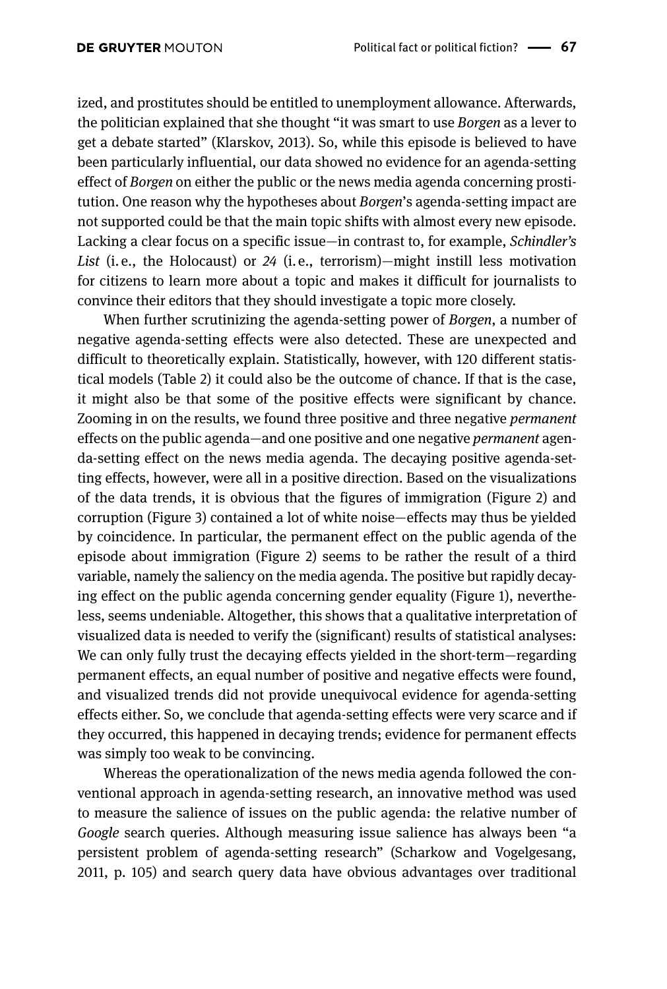ized, and prostitutes should be entitled to unemployment allowance. Afterwards, the politician explained that she thought "it was smart to use *Borgen* as a lever to get a debate started" (Klarskov, 2013). So, while this episode is believed to have been particularly influential, our data showed no evidence for an agenda-setting effect of *Borgen* on either the public or the news media agenda concerning prostitution. One reason why the hypotheses about *Borgen*'s agenda-setting impact are not supported could be that the main topic shifts with almost every new episode. Lacking a clear focus on a specific issue—in contrast to, for example, *Schindler's List* (i. e., the Holocaust) or *24* (i. e., terrorism)—might instill less motivation for citizens to learn more about a topic and makes it difficult for journalists to convince their editors that they should investigate a topic more closely.

When further scrutinizing the agenda-setting power of *Borgen*, a number of negative agenda-setting effects were also detected. These are unexpected and difficult to theoretically explain. Statistically, however, with 120 different statistical models (Table 2) it could also be the outcome of chance. If that is the case, it might also be that some of the positive effects were significant by chance. Zooming in on the results, we found three positive and three negative *permanent* effects on the public agenda—and one positive and one negative *permanent* agenda-setting effect on the news media agenda. The decaying positive agenda-setting effects, however, were all in a positive direction. Based on the visualizations of the data trends, it is obvious that the figures of immigration (Figure 2) and corruption (Figure 3) contained a lot of white noise—effects may thus be yielded by coincidence. In particular, the permanent effect on the public agenda of the episode about immigration (Figure 2) seems to be rather the result of a third variable, namely the saliency on the media agenda. The positive but rapidly decaying effect on the public agenda concerning gender equality (Figure 1), nevertheless, seems undeniable. Altogether, this shows that a qualitative interpretation of visualized data is needed to verify the (significant) results of statistical analyses: We can only fully trust the decaying effects yielded in the short-term—regarding permanent effects, an equal number of positive and negative effects were found, and visualized trends did not provide unequivocal evidence for agenda-setting effects either. So, we conclude that agenda-setting effects were very scarce and if they occurred, this happened in decaying trends; evidence for permanent effects was simply too weak to be convincing.

Whereas the operationalization of the news media agenda followed the conventional approach in agenda-setting research, an innovative method was used to measure the salience of issues on the public agenda: the relative number of *Google* search queries. Although measuring issue salience has always been "a persistent problem of agenda-setting research" (Scharkow and Vogelgesang, 2011, p. 105) and search query data have obvious advantages over traditional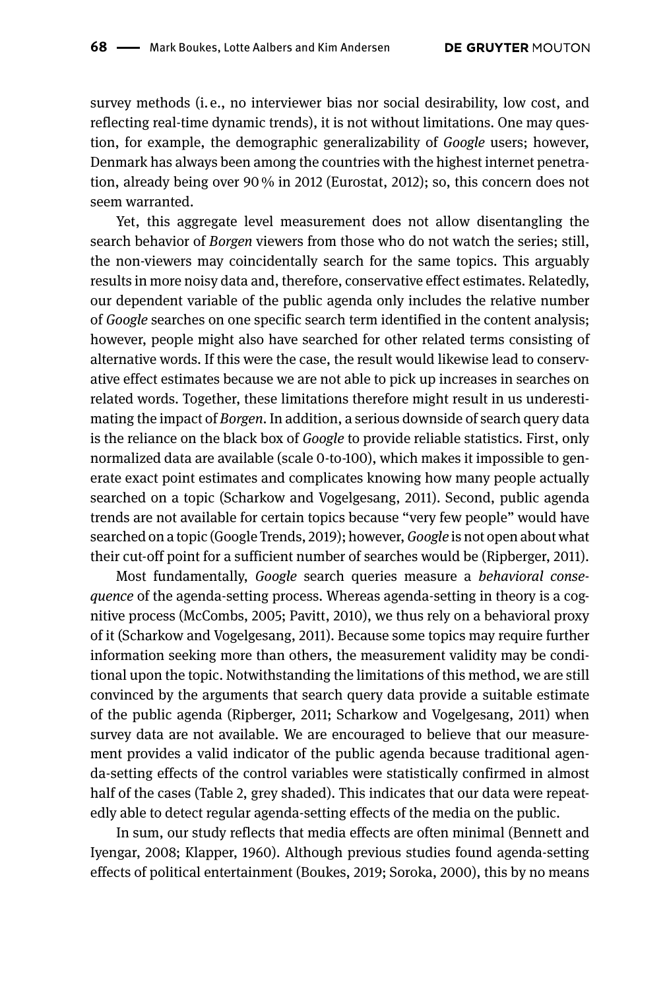survey methods (i. e., no interviewer bias nor social desirability, low cost, and reflecting real-time dynamic trends), it is not without limitations. One may question, for example, the demographic generalizability of *Google* users; however, Denmark has always been among the countries with the highest internet penetration, already being over 90 % in 2012 (Eurostat, 2012); so, this concern does not seem warranted.

Yet, this aggregate level measurement does not allow disentangling the search behavior of *Borgen* viewers from those who do not watch the series; still, the non-viewers may coincidentally search for the same topics. This arguably results in more noisy data and, therefore, conservative effect estimates. Relatedly, our dependent variable of the public agenda only includes the relative number of *Google* searches on one specific search term identified in the content analysis; however, people might also have searched for other related terms consisting of alternative words. If this were the case, the result would likewise lead to conservative effect estimates because we are not able to pick up increases in searches on related words. Together, these limitations therefore might result in us underestimating the impact of *Borgen*. In addition, a serious downside of search query data is the reliance on the black box of *Google* to provide reliable statistics. First, only normalized data are available (scale 0-to-100), which makes it impossible to generate exact point estimates and complicates knowing how many people actually searched on a topic (Scharkow and Vogelgesang, 2011). Second, public agenda trends are not available for certain topics because "very few people" would have searched on a topic (Google Trends, 2019); however, *Google* is not open about what their cut-off point for a sufficient number of searches would be (Ripberger, 2011).

Most fundamentally, *Google* search queries measure a *behavioral consequence* of the agenda-setting process. Whereas agenda-setting in theory is a cognitive process (McCombs, 2005; Pavitt, 2010), we thus rely on a behavioral proxy of it (Scharkow and Vogelgesang, 2011). Because some topics may require further information seeking more than others, the measurement validity may be conditional upon the topic. Notwithstanding the limitations of this method, we are still convinced by the arguments that search query data provide a suitable estimate of the public agenda (Ripberger, 2011; Scharkow and Vogelgesang, 2011) when survey data are not available. We are encouraged to believe that our measurement provides a valid indicator of the public agenda because traditional agenda-setting effects of the control variables were statistically confirmed in almost half of the cases (Table 2, grey shaded). This indicates that our data were repeatedly able to detect regular agenda-setting effects of the media on the public.

In sum, our study reflects that media effects are often minimal (Bennett and Iyengar, 2008; Klapper, 1960). Although previous studies found agenda-setting effects of political entertainment (Boukes, 2019; Soroka, 2000), this by no means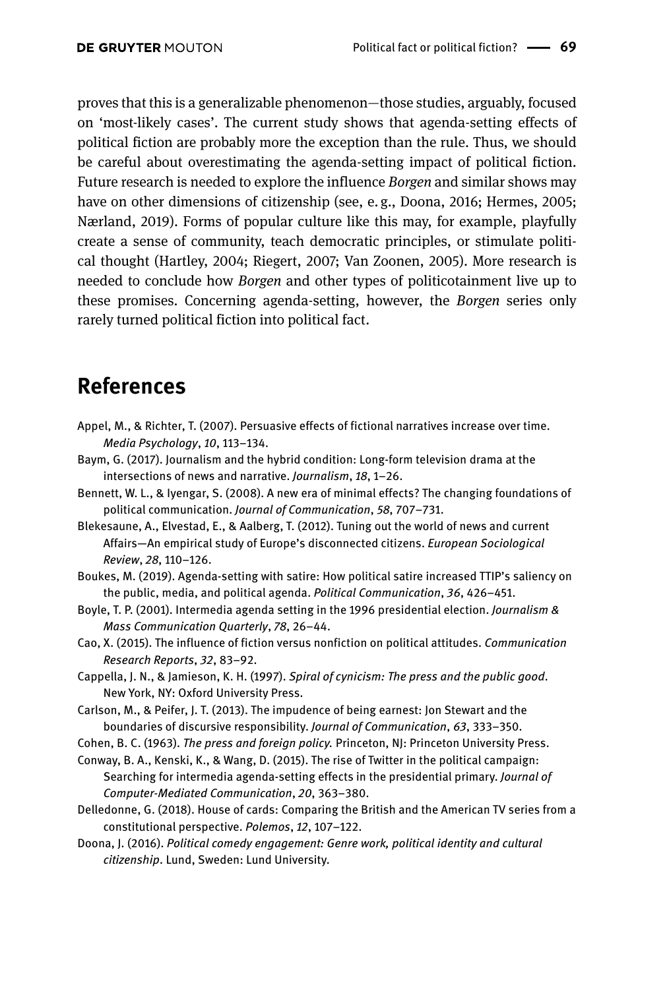proves that this is a generalizable phenomenon—those studies, arguably, focused on 'most-likely cases'. The current study shows that agenda-setting effects of political fiction are probably more the exception than the rule. Thus, we should be careful about overestimating the agenda-setting impact of political fiction. Future research is needed to explore the influence *Borgen* and similar shows may have on other dimensions of citizenship (see, e.g., Doona, 2016; Hermes, 2005; Nærland, 2019). Forms of popular culture like this may, for example, playfully create a sense of community, teach democratic principles, or stimulate political thought (Hartley, 2004; Riegert, 2007; Van Zoonen, 2005). More research is needed to conclude how *Borgen* and other types of politicotainment live up to these promises. Concerning agenda-setting, however, the *Borgen* series only rarely turned political fiction into political fact.

## **References**

- Appel, M., & Richter, T. (2007). Persuasive effects of fictional narratives increase over time. *Media Psychology*, *10*, 113–134.
- Baym, G. (2017). Journalism and the hybrid condition: Long-form television drama at the intersections of news and narrative. *Journalism*, *18*, 1–26.
- Bennett, W. L., & Iyengar, S. (2008). A new era of minimal effects? The changing foundations of political communication. *Journal of Communication*, *58*, 707–731.
- Blekesaune, A., Elvestad, E., & Aalberg, T. (2012). Tuning out the world of news and current Affairs—An empirical study of Europe's disconnected citizens. *European Sociological Review*, *28*, 110–126.
- Boukes, M. (2019). Agenda-setting with satire: How political satire increased TTIP's saliency on the public, media, and political agenda. *Political Communication*, *36*, 426–451.
- Boyle, T. P. (2001). Intermedia agenda setting in the 1996 presidential election. *Journalism & Mass Communication Quarterly*, *78*, 26–44.
- Cao, X. (2015). The influence of fiction versus nonfiction on political attitudes. *Communication Research Reports*, *32*, 83–92.
- Cappella, J. N., & Jamieson, K. H. (1997). *Spiral of cynicism: The press and the public good*. New York, NY: Oxford University Press.
- Carlson, M., & Peifer, J. T. (2013). The impudence of being earnest: Jon Stewart and the boundaries of discursive responsibility. *Journal of Communication*, *63*, 333–350.
- Cohen, B. C. (1963). *The press and foreign policy.* Princeton, NJ: Princeton University Press.
- Conway, B. A., Kenski, K., & Wang, D. (2015). The rise of Twitter in the political campaign: Searching for intermedia agenda-setting effects in the presidential primary. *Journal of Computer-Mediated Communication*, *20*, 363–380.
- Delledonne, G. (2018). House of cards: Comparing the British and the American TV series from a constitutional perspective. *Polemos*, *12*, 107–122.
- Doona, J. (2016). *Political comedy engagement: Genre work, political identity and cultural citizenship*. Lund, Sweden: Lund University.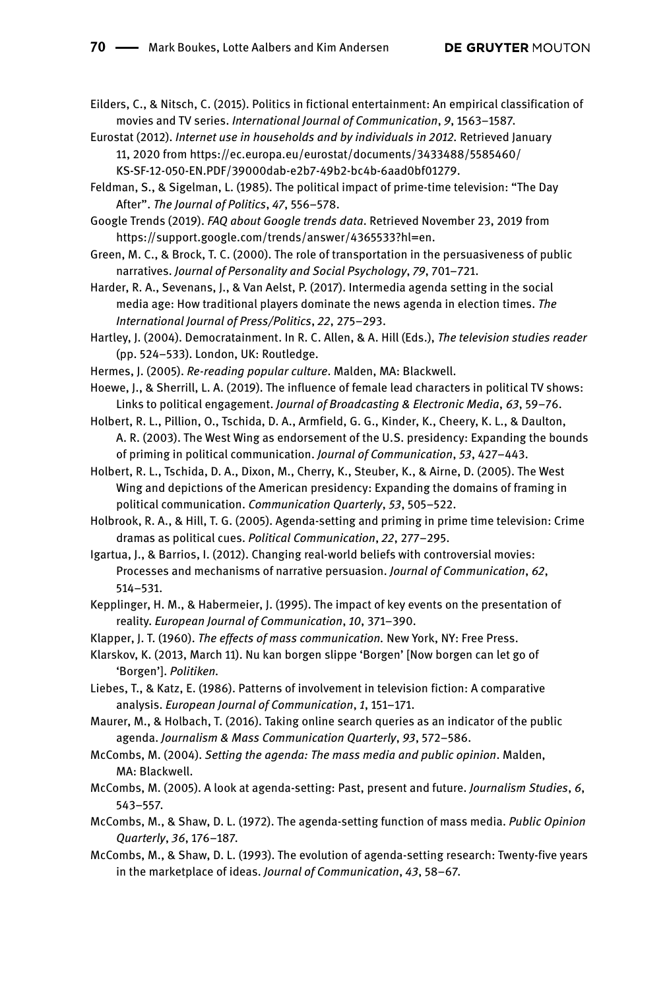Eilders, C., & Nitsch, C. (2015). Politics in fictional entertainment: An empirical classification of movies and TV series. *International Journal of Communication*, *9*, 1563–1587.

- Eurostat (2012). *Internet use in households and by individuals in 2012.* Retrieved January 11, 2020 from [https://ec.europa.eu/eurostat/documents/3433488/5585460/](https://ec.europa.eu/eurostat/documents/3433488/5585460/KS-SF-12-050-EN.PDF/39000dab-e2b7-49b2-bc4b-6aad0bf01279) [KS-SF-12-050-EN.PDF/39000dab-e2b7-49b2-bc4b-6aad0bf01279](https://ec.europa.eu/eurostat/documents/3433488/5585460/KS-SF-12-050-EN.PDF/39000dab-e2b7-49b2-bc4b-6aad0bf01279).
- Feldman, S., & Sigelman, L. (1985). The political impact of prime-time television: "The Day After". *The Journal of Politics*, *47*, 556–578.

Google Trends (2019). *FAQ about Google trends data*. Retrieved November 23, 2019 from [https://support.google.com/trends/answer/4365533?hl=en.](https://support.google.com/trends/answer/4365533?hl=en)

Green, M. C., & Brock, T. C. (2000). The role of transportation in the persuasiveness of public narratives. *Journal of Personality and Social Psychology*, *79*, 701–721.

Harder, R. A., Sevenans, J., & Van Aelst, P. (2017). Intermedia agenda setting in the social media age: How traditional players dominate the news agenda in election times. *The International Journal of Press/Politics*, *22*, 275–293.

Hartley, J. (2004). Democratainment. In R. C. Allen, & A. Hill (Eds.), *The television studies reader* (pp. 524–533). London, UK: Routledge.

Hermes, J. (2005). *Re-reading popular culture*. Malden, MA: Blackwell.

Hoewe, J., & Sherrill, L. A. (2019). The influence of female lead characters in political TV shows: Links to political engagement. *Journal of Broadcasting & Electronic Media*, *63*, 59–76.

Holbert, R. L., Pillion, O., Tschida, D. A., Armfield, G. G., Kinder, K., Cheery, K. L., & Daulton, A. R. (2003). The West Wing as endorsement of the U.S. presidency: Expanding the bounds of priming in political communication. *Journal of Communication*, *53*, 427–443.

Holbert, R. L., Tschida, D. A., Dixon, M., Cherry, K., Steuber, K., & Airne, D. (2005). The West Wing and depictions of the American presidency: Expanding the domains of framing in political communication. *Communication Quarterly*, *53*, 505–522.

Holbrook, R. A., & Hill, T. G. (2005). Agenda-setting and priming in prime time television: Crime dramas as political cues. *Political Communication*, *22*, 277–295.

Igartua, J., & Barrios, I. (2012). Changing real-world beliefs with controversial movies: Processes and mechanisms of narrative persuasion. *Journal of Communication*, *62*, 514–531.

Kepplinger, H. M., & Habermeier, J. (1995). The impact of key events on the presentation of reality. *European Journal of Communication*, *10*, 371–390.

Klapper, J. T. (1960). *The effects of mass communication.* New York, NY: Free Press.

Klarskov, K. (2013, March 11). Nu kan borgen slippe 'Borgen' [Now borgen can let go of 'Borgen']. *Politiken.*

Liebes, T., & Katz, E. (1986). Patterns of involvement in television fiction: A comparative analysis. *European Journal of Communication*, *1*, 151–171.

Maurer, M., & Holbach, T. (2016). Taking online search queries as an indicator of the public agenda. *Journalism & Mass Communication Quarterly*, *93*, 572–586.

McCombs, M. (2004). *Setting the agenda: The mass media and public opinion*. Malden, MA: Blackwell.

McCombs, M. (2005). A look at agenda-setting: Past, present and future. *Journalism Studies*, *6*, 543–557.

- McCombs, M., & Shaw, D. L. (1972). The agenda-setting function of mass media. *Public Opinion Quarterly*, *36*, 176–187.
- McCombs, M., & Shaw, D. L. (1993). The evolution of agenda-setting research: Twenty-five years in the marketplace of ideas. *Journal of Communication*, *43*, 58–67.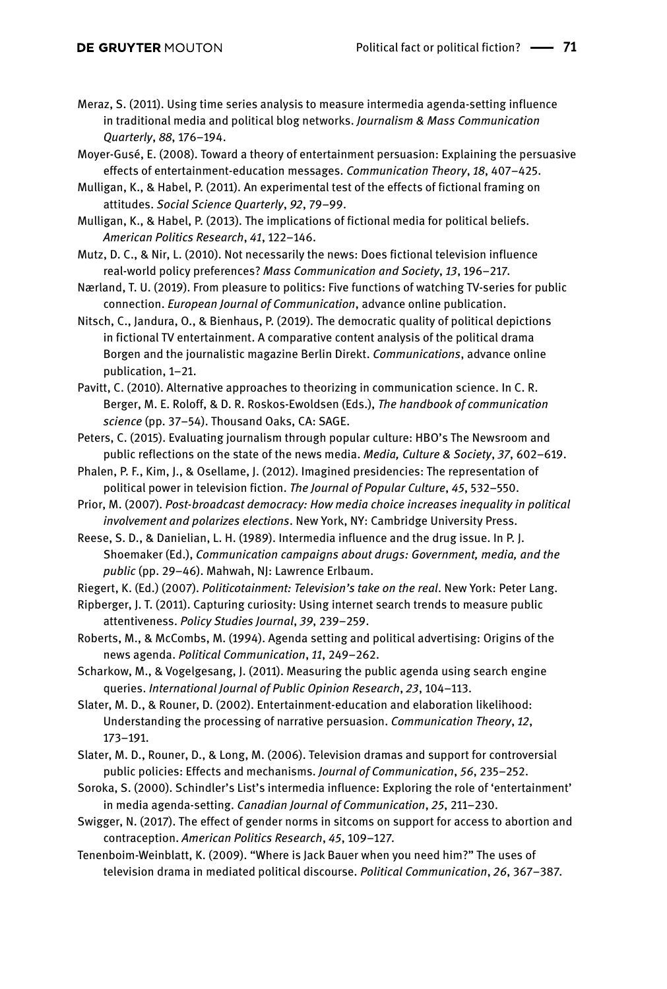- Meraz, S. (2011). Using time series analysis to measure intermedia agenda-setting influence in traditional media and political blog networks. *Journalism & Mass Communication Quarterly*, *88*, 176–194.
- Moyer-Gusé, E. (2008). Toward a theory of entertainment persuasion: Explaining the persuasive effects of entertainment-education messages. *Communication Theory*, *18*, 407–425.
- Mulligan, K., & Habel, P. (2011). An experimental test of the effects of fictional framing on attitudes. *Social Science Quarterly*, *92*, 79–99.
- Mulligan, K., & Habel, P. (2013). The implications of fictional media for political beliefs. *American Politics Research*, *41*, 122–146.
- Mutz, D. C., & Nir, L. (2010). Not necessarily the news: Does fictional television influence real-world policy preferences? *Mass Communication and Society*, *13*, 196–217.
- Nærland, T. U. (2019). From pleasure to politics: Five functions of watching TV-series for public connection. *European Journal of Communication*, advance online publication.
- Nitsch, C., Jandura, O., & Bienhaus, P. (2019). The democratic quality of political depictions in fictional TV entertainment. A comparative content analysis of the political drama Borgen and the journalistic magazine Berlin Direkt. *Communications*, advance online publication, 1–21.
- Pavitt, C. (2010). Alternative approaches to theorizing in communication science. In C. R. Berger, M. E. Roloff, & D. R. Roskos-Ewoldsen (Eds.), *The handbook of communication science* (pp. 37–54). Thousand Oaks, CA: SAGE.
- Peters, C. (2015). Evaluating journalism through popular culture: HBO's The Newsroom and public reflections on the state of the news media. *Media, Culture & Society*, *37*, 602–619.
- Phalen, P. F., Kim, J., & Osellame, J. (2012). Imagined presidencies: The representation of political power in television fiction. *The Journal of Popular Culture*, *45*, 532–550.
- Prior, M. (2007). *Post-broadcast democracy: How media choice increases inequality in political involvement and polarizes elections*. New York, NY: Cambridge University Press.
- Reese, S. D., & Danielian, L. H. (1989). Intermedia influence and the drug issue. In P. J. Shoemaker (Ed.), *Communication campaigns about drugs: Government, media, and the public* (pp. 29–46). Mahwah, NJ: Lawrence Erlbaum.
- Riegert, K. (Ed.) (2007). *Politicotainment: Television's take on the real*. New York: Peter Lang.
- Ripberger, J. T. (2011). Capturing curiosity: Using internet search trends to measure public attentiveness. *Policy Studies Journal*, *39*, 239–259.
- Roberts, M., & McCombs, M. (1994). Agenda setting and political advertising: Origins of the news agenda. *Political Communication*, *11*, 249–262.
- Scharkow, M., & Vogelgesang, J. (2011). Measuring the public agenda using search engine queries. *International Journal of Public Opinion Research*, *23*, 104–113.
- Slater, M. D., & Rouner, D. (2002). Entertainment-education and elaboration likelihood: Understanding the processing of narrative persuasion. *Communication Theory*, *12*, 173–191.
- Slater, M. D., Rouner, D., & Long, M. (2006). Television dramas and support for controversial public policies: Effects and mechanisms. *Journal of Communication*, *56*, 235–252.
- Soroka, S. (2000). Schindler's List's intermedia influence: Exploring the role of 'entertainment' in media agenda-setting. *Canadian Journal of Communication*, *25*, 211–230.
- Swigger, N. (2017). The effect of gender norms in sitcoms on support for access to abortion and contraception. *American Politics Research*, *45*, 109–127.
- Tenenboim-Weinblatt, K. (2009). "Where is Jack Bauer when you need him?" The uses of television drama in mediated political discourse. *Political Communication*, *26*, 367–387.